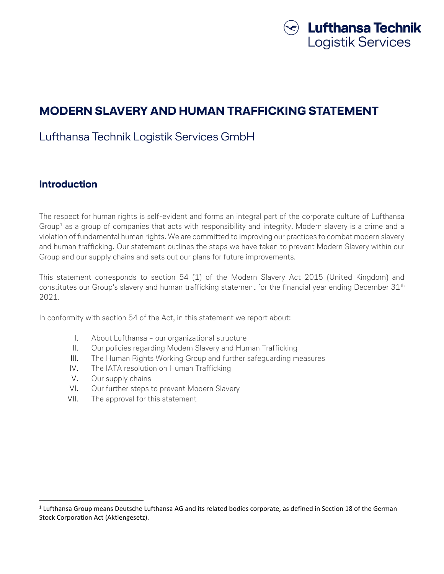

# **MODERN SLAVERY AND HUMAN TRAFFICKING STATEMENT**

# Lufthansa Technik Logistik Services GmbH

## **Introduction**

 $\overline{\phantom{a}}$ 

The respect for human rights is self-evident and forms an integral part of the corporate culture of Lufthansa Group<sup>1</sup> as a group of companies that acts with responsibility and integrity. Modern slavery is a crime and a violation of fundamental human rights. We are committed to improving our practices to combat modern slavery and human trafficking. Our statement outlines the steps we have taken to prevent Modern Slavery within our Group and our supply chains and sets out our plans for future improvements.

This statement corresponds to section 54 (1) of the Modern Slavery Act 2015 (United Kingdom) and constitutes our Group's slavery and human trafficking statement for the financial year ending December 31<sup>th</sup> 2021.

In conformity with section 54 of the Act, in this statement we report about:

- I. About Lufthansa our organizational structure
- II. Our policies regarding Modern Slavery and Human Trafficking
- III. The Human Rights Working Group and further safeguarding measures
- IV. The IATA resolution on Human Trafficking
- V. Our supply chains
- VI. Our further steps to prevent Modern Slavery
- VII. The approval for this statement

 $1$  Lufthansa Group means Deutsche Lufthansa AG and its related bodies corporate, as defined in Section 18 of the German Stock Corporation Act (Aktiengesetz).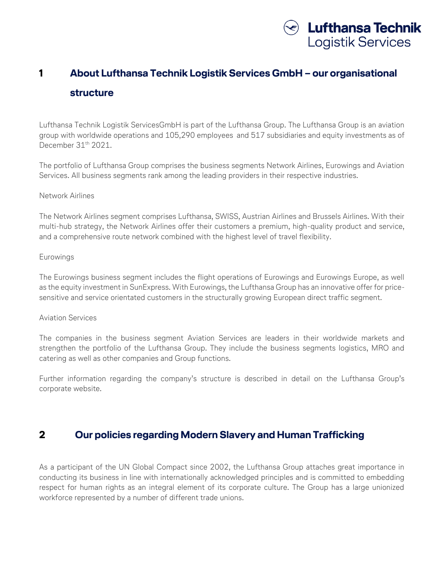

# **1 About Lufthansa Technik Logistik Services GmbH – our organisational structure**

Lufthansa Technik Logistik ServicesGmbH is part of the Lufthansa Group. The Lufthansa Group is an aviation group with worldwide operations and 105,290 employees and 517 subsidiaries and equity investments as of December 31<sup>th</sup> 2021.

The portfolio of Lufthansa Group comprises the business segments Network Airlines, Eurowings and Aviation Services. All business segments rank among the leading providers in their respective industries.

#### Network Airlines

The Network Airlines segment comprises Lufthansa, SWISS, Austrian Airlines and Brussels Airlines. With their multi-hub strategy, the Network Airlines offer their customers a premium, high-quality product and service, and a comprehensive route network combined with the highest level of travel flexibility.

#### Eurowings

The Eurowings business segment includes the flight operations of Eurowings and Eurowings Europe, as well as the equity investment in SunExpress. With Eurowings, the Lufthansa Group has an innovative offer for pricesensitive and service orientated customers in the structurally growing European direct traffic segment.

#### Aviation Services

The companies in the business segment Aviation Services are leaders in their worldwide markets and strengthen the portfolio of the Lufthansa Group. They include the business segments logistics, MRO and catering as well as other companies and Group functions.

Further information regarding the company's structure is described in detail on the Lufthansa Group's corporate website.

## **2 Our policies regarding Modern Slavery and Human Trafficking**

As a participant of the UN Global Compact since 2002, the Lufthansa Group attaches great importance in conducting its business in line with internationally acknowledged principles and is committed to embedding respect for human rights as an integral element of its corporate culture. The Group has a large unionized workforce represented by a number of different trade unions.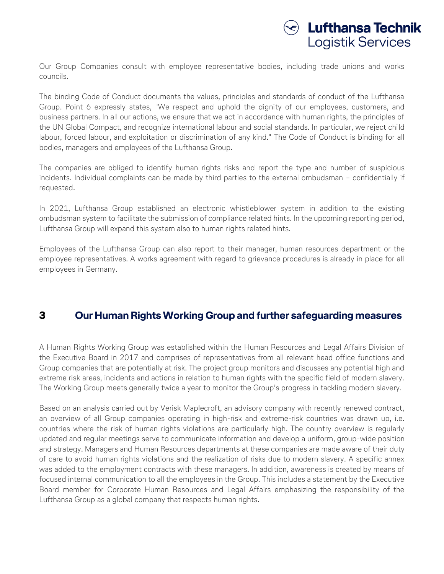

Our Group Companies consult with employee representative bodies, including trade unions and works councils.

The binding Code of Conduct documents the values, principles and standards of conduct of the Lufthansa Group. Point 6 expressly states, "We respect and uphold the dignity of our employees, customers, and business partners. In all our actions, we ensure that we act in accordance with human rights, the principles of the UN Global Compact, and recognize international labour and social standards. In particular, we reject child labour, forced labour, and exploitation or discrimination of any kind." The Code of Conduct is binding for all bodies, managers and employees of the Lufthansa Group.

The companies are obliged to identify human rights risks and report the type and number of suspicious incidents. Individual complaints can be made by third parties to the external ombudsman – confidentially if requested.

In 2021, Lufthansa Group established an electronic whistleblower system in addition to the existing ombudsman system to facilitate the submission of compliance related hints. In the upcoming reporting period, Lufthansa Group will expand this system also to human rights related hints.

Employees of the Lufthansa Group can also report to their manager, human resources department or the employee representatives. A works agreement with regard to grievance procedures is already in place for all employees in Germany.

## **3 Our Human Rights Working Group and further safeguarding measures**

A Human Rights Working Group was established within the Human Resources and Legal Affairs Division of the Executive Board in 2017 and comprises of representatives from all relevant head office functions and Group companies that are potentially at risk. The project group monitors and discusses any potential high and extreme risk areas, incidents and actions in relation to human rights with the specific field of modern slavery. The Working Group meets generally twice a year to monitor the Group's progress in tackling modern slavery.

Based on an analysis carried out by Verisk Maplecroft, an advisory company with recently renewed contract, an overview of all Group companies operating in high-risk and extreme-risk countries was drawn up, i.e. countries where the risk of human rights violations are particularly high. The country overview is regularly updated and regular meetings serve to communicate information and develop a uniform, group-wide position and strategy. Managers and Human Resources departments at these companies are made aware of their duty of care to avoid human rights violations and the realization of risks due to modern slavery. A specific annex was added to the employment contracts with these managers. In addition, awareness is created by means of focused internal communication to all the employees in the Group. This includes a statement by the Executive Board member for Corporate Human Resources and Legal Affairs emphasizing the responsibility of the Lufthansa Group as a global company that respects human rights.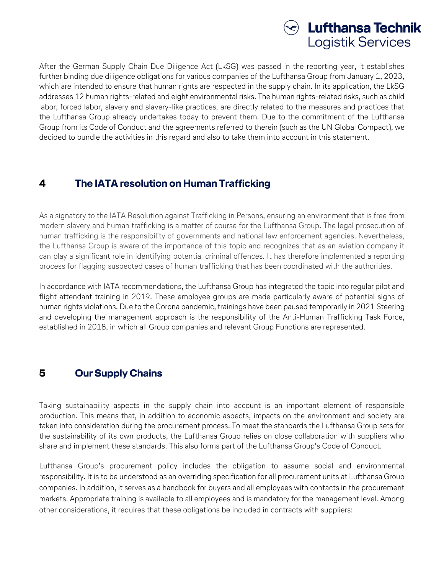

After the German Supply Chain Due Diligence Act (LkSG) was passed in the reporting year, it establishes further binding due diligence obligations for various companies of the Lufthansa Group from January 1, 2023, which are intended to ensure that human rights are respected in the supply chain. In its application, the LkSG addresses 12 human rights-related and eight environmental risks. The human rights-related risks, such as child labor, forced labor, slavery and slavery-like practices, are directly related to the measures and practices that the Lufthansa Group already undertakes today to prevent them. Due to the commitment of the Lufthansa Group from its Code of Conduct and the agreements referred to therein (such as the UN Global Compact), we decided to bundle the activities in this regard and also to take them into account in this statement.

## **4 The IATA resolution on Human Trafficking**

As a signatory to the IATA Resolution against Trafficking in Persons, ensuring an environment that is free from modern slavery and human trafficking is a matter of course for the Lufthansa Group. The legal prosecution of human trafficking is the responsibility of governments and national law enforcement agencies. Nevertheless, the Lufthansa Group is aware of the importance of this topic and recognizes that as an aviation company it can play a significant role in identifying potential criminal offences. It has therefore implemented a reporting process for flagging suspected cases of human trafficking that has been coordinated with the authorities.

In accordance with IATA recommendations, the Lufthansa Group has integrated the topic into regular pilot and flight attendant training in 2019. These employee groups are made particularly aware of potential signs of human rights violations. Due to the Corona pandemic, trainings have been paused temporarily in 2021 Steering and developing the management approach is the responsibility of the Anti-Human Trafficking Task Force, established in 2018, in which all Group companies and relevant Group Functions are represented.

# **5 Our Supply Chains**

Taking sustainability aspects in the supply chain into account is an important element of responsible production. This means that, in addition to economic aspects, impacts on the environment and society are taken into consideration during the procurement process. To meet the standards the Lufthansa Group sets for the sustainability of its own products, the Lufthansa Group relies on close collaboration with suppliers who share and implement these standards. This also forms part of the Lufthansa Group's Code of Conduct.

Lufthansa Group's procurement policy includes the obligation to assume social and environmental responsibility. It is to be understood as an overriding specification for all procurement units at Lufthansa Group companies. In addition, it serves as a handbook for buyers and all employees with contacts in the procurement markets. Appropriate training is available to all employees and is mandatory for the management level. Among other considerations, it requires that these obligations be included in contracts with suppliers: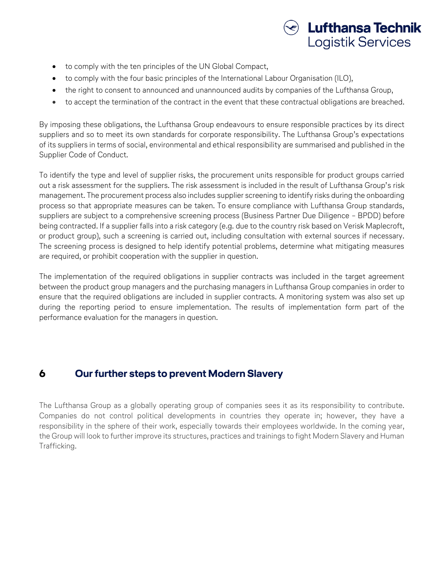

- to comply with the ten principles of the UN Global Compact,
- to comply with the four basic principles of the International Labour Organisation (ILO),
- the right to consent to announced and unannounced audits by companies of the Lufthansa Group,
- to accept the termination of the contract in the event that these contractual obligations are breached.

By imposing these obligations, the Lufthansa Group endeavours to ensure responsible practices by its direct suppliers and so to meet its own standards for corporate responsibility. The Lufthansa Group's expectations of its suppliers in terms of social, environmental and ethical responsibility are summarised and published in the Supplier Code of Conduct.

To identify the type and level of supplier risks, the procurement units responsible for product groups carried out a risk assessment for the suppliers. The risk assessment is included in the result of Lufthansa Group's risk management. The procurement process also includes supplier screening to identify risks during the onboarding process so that appropriate measures can be taken. To ensure compliance with Lufthansa Group standards, suppliers are subject to a comprehensive screening process (Business Partner Due Diligence – BPDD) before being contracted. If a supplier falls into a risk category (e.g. due to the country risk based on Verisk Maplecroft, or product group), such a screening is carried out, including consultation with external sources if necessary. The screening process is designed to help identify potential problems, determine what mitigating measures are required, or prohibit cooperation with the supplier in question.

The implementation of the required obligations in supplier contracts was included in the target agreement between the product group managers and the purchasing managers in Lufthansa Group companies in order to ensure that the required obligations are included in supplier contracts. A monitoring system was also set up during the reporting period to ensure implementation. The results of implementation form part of the performance evaluation for the managers in question.

# **6 Our further steps to prevent Modern Slavery**

The Lufthansa Group as a globally operating group of companies sees it as its responsibility to contribute. Companies do not control political developments in countries they operate in; however, they have a responsibility in the sphere of their work, especially towards their employees worldwide. In the coming year, the Group will look to further improve its structures, practices and trainings to fight Modern Slavery and Human Trafficking.